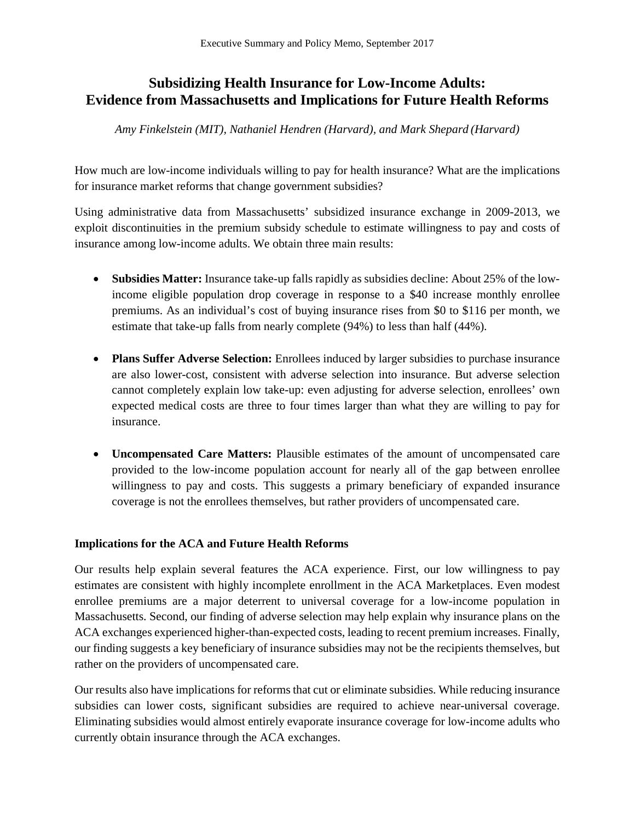# **Subsidizing Health Insurance for Low-Income Adults: Evidence from Massachusetts and Implications for Future Health Reforms**

*Amy Finkelstein (MIT), Nathaniel Hendren (Harvard), and Mark Shepard (Harvard)*

How much are low-income individuals willing to pay for health insurance? What are the implications for insurance market reforms that change government subsidies?

Using administrative data from Massachusetts' subsidized insurance exchange in 2009-2013, we exploit discontinuities in the premium subsidy schedule to estimate willingness to pay and costs of insurance among low-income adults. We obtain three main results:

- **Subsidies Matter:** Insurance take-up falls rapidly as subsidies decline: About 25% of the lowincome eligible population drop coverage in response to a \$40 increase monthly enrollee premiums. As an individual's cost of buying insurance rises from \$0 to \$116 per month, we estimate that take-up falls from nearly complete (94%) to less than half (44%).
- **Plans Suffer Adverse Selection:** Enrollees induced by larger subsidies to purchase insurance are also lower-cost, consistent with adverse selection into insurance. But adverse selection cannot completely explain low take-up: even adjusting for adverse selection, enrollees' own expected medical costs are three to four times larger than what they are willing to pay for insurance.
- **Uncompensated Care Matters:** Plausible estimates of the amount of uncompensated care provided to the low-income population account for nearly all of the gap between enrollee willingness to pay and costs. This suggests a primary beneficiary of expanded insurance coverage is not the enrollees themselves, but rather providers of uncompensated care.

## **Implications for the ACA and Future Health Reforms**

Our results help explain several features the ACA experience. First, our low willingness to pay estimates are consistent with highly incomplete enrollment in the ACA Marketplaces. Even modest enrollee premiums are a major deterrent to universal coverage for a low-income population in Massachusetts. Second, our finding of adverse selection may help explain why insurance plans on the ACA exchanges experienced higher-than-expected costs, leading to recent premium increases. Finally, our finding suggests a key beneficiary of insurance subsidies may not be the recipients themselves, but rather on the providers of uncompensated care.

Our results also have implications for reforms that cut or eliminate subsidies. While reducing insurance subsidies can lower costs, significant subsidies are required to achieve near-universal coverage. Eliminating subsidies would almost entirely evaporate insurance coverage for low-income adults who currently obtain insurance through the ACA exchanges.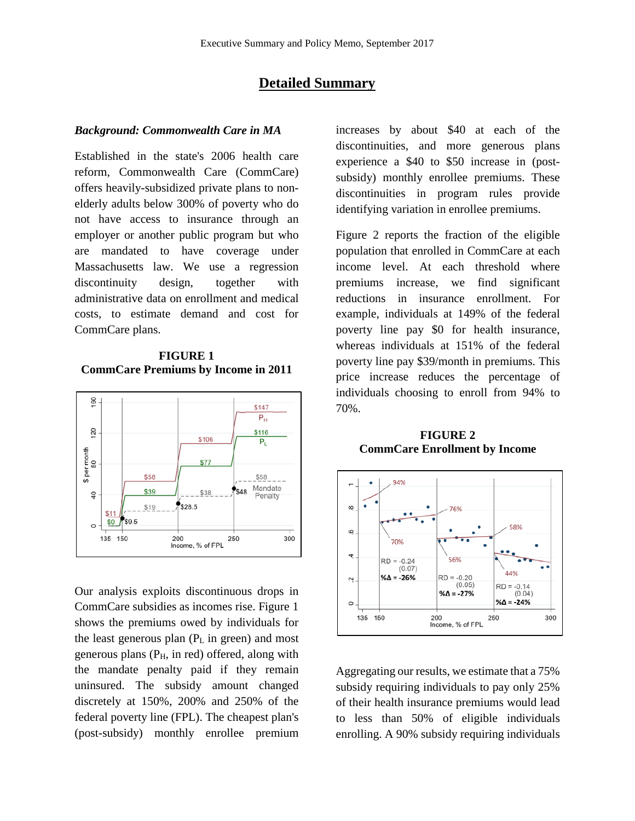## **Detailed Summary**

#### *Background: Commonwealth Care in MA*

Established in the state's 2006 health care reform, Commonwealth Care (CommCare) offers heavily-subsidized private plans to nonelderly adults below 300% of poverty who do not have access to insurance through an employer or another public program but who are mandated to have coverage under Massachusetts law. We use a regression discontinuity design, together with administrative data on enrollment and medical costs, to estimate demand and cost for CommCare plans.

#### **FIGURE 1 CommCare Premiums by Income in 2011**



Our analysis exploits discontinuous drops in CommCare subsidies as incomes rise. Figure 1 shows the premiums owed by individuals for the least generous plan  $(P_L$  in green) and most generous plans  $(P<sub>H</sub>, in red)$  offered, along with the mandate penalty paid if they remain uninsured. The subsidy amount changed discretely at 150%, 200% and 250% of the federal poverty line (FPL). The cheapest plan's (post-subsidy) monthly enrollee premium increases by about \$40 at each of the discontinuities, and more generous plans experience a \$40 to \$50 increase in (postsubsidy) monthly enrollee premiums. These discontinuities in program rules provide identifying variation in enrollee premiums.

Figure 2 reports the fraction of the eligible population that enrolled in CommCare at each income level. At each threshold where premiums increase, we find significant reductions in insurance enrollment. For example, individuals at 149% of the federal poverty line pay \$0 for health insurance, whereas individuals at 151% of the federal poverty line pay \$39/month in premiums. This price increase reduces the percentage of individuals choosing to enroll from 94% to 70%.

#### **FIGURE 2 CommCare Enrollment by Income**



Aggregating our results, we estimate that a 75% subsidy requiring individuals to pay only 25% of their health insurance premiums would lead to less than 50% of eligible individuals enrolling. A 90% subsidy requiring individuals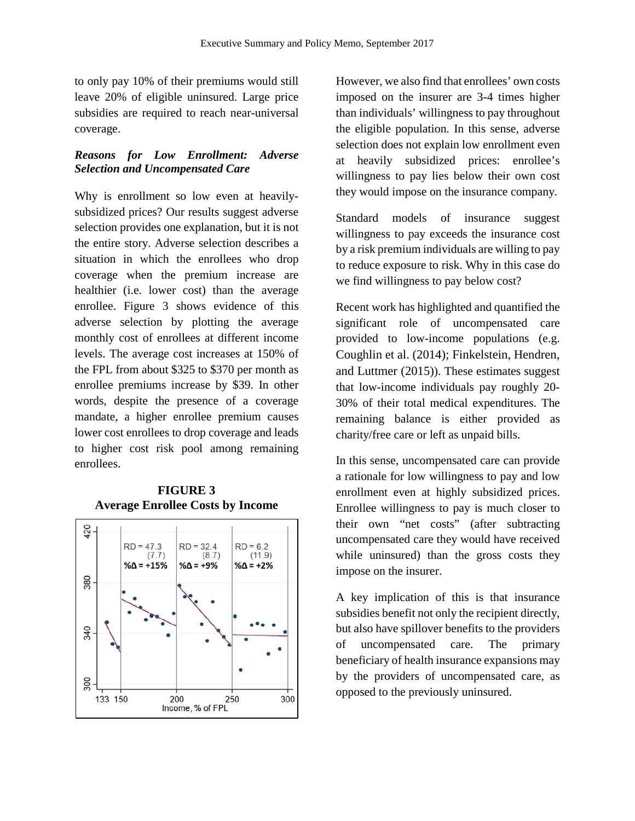to only pay 10% of their premiums would still leave 20% of eligible uninsured. Large price subsidies are required to reach near-universal coverage.

#### *Reasons for Low Enrollment: Adverse Selection and Uncompensated Care*

Why is enrollment so low even at heavilysubsidized prices? Our results suggest adverse selection provides one explanation, but it is not the entire story. Adverse selection describes a situation in which the enrollees who drop coverage when the premium increase are healthier (i.e. lower cost) than the average enrollee. Figure 3 shows evidence of this adverse selection by plotting the average monthly cost of enrollees at different income levels. The average cost increases at 150% of the FPL from about \$325 to \$370 per month as enrollee premiums increase by \$39. In other words, despite the presence of a coverage mandate, a higher enrollee premium causes lower cost enrollees to drop coverage and leads to higher cost risk pool among remaining enrollees.

#### **FIGURE 3 Average Enrollee Costs by Income**



However, we also find that enrollees' own costs imposed on the insurer are 3-4 times higher than individuals' willingness to pay throughout the eligible population. In this sense, adverse selection does not explain low enrollment even at heavily subsidized prices: enrollee's willingness to pay lies below their own cost they would impose on the insurance company.

Standard models of insurance suggest willingness to pay exceeds the insurance cost by a risk premium individuals are willing to pay to reduce exposure to risk. Why in this case do we find willingness to pay below cost?

Recent work has highlighted and quantified the significant role of uncompensated care provided to low-income populations (e.g. Coughlin et al. (2014); Finkelstein, Hendren, and Luttmer (2015)). These estimates suggest that low-income individuals pay roughly 20- 30% of their total medical expenditures. The remaining balance is either provided as charity/free care or left as unpaid bills.

In this sense, uncompensated care can provide a rationale for low willingness to pay and low enrollment even at highly subsidized prices. Enrollee willingness to pay is much closer to their own "net costs" (after subtracting uncompensated care they would have received while uninsured) than the gross costs they impose on the insurer.

A key implication of this is that insurance subsidies benefit not only the recipient directly, but also have spillover benefits to the providers of uncompensated care. The primary beneficiary of health insurance expansions may by the providers of uncompensated care, as opposed to the previously uninsured.